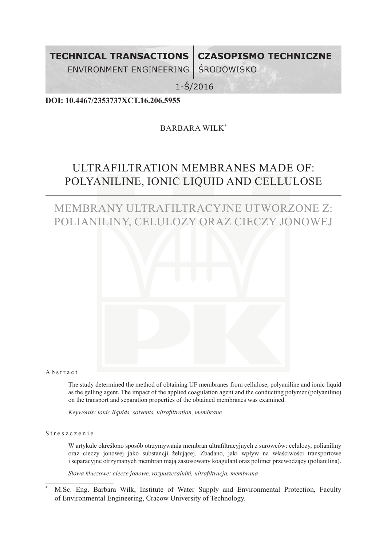**TECHNICAL TRANSACTIONS** 

**CZASOPISMO TECHNICZNE** 

ENVIRONMENT ENGINEERING **ŚRODOWISKO** 

 $1 - \frac{2}{3}$ /2016

**DOI: 10.4467/2353737XCT.16.206.5955**

## BARBARA WILK\*

# ULTRAFILTRATION MEMBRANES MADE OF: POLYANILINE, IONIC LIQUID AND CELLULOSE

## MEMBRANY ULTRAFILTRACYJNE UTWORZONE Z: POLIANILINY, CELULOZY ORAZ CIECZY JONOWEJ



Abstract

The study determined the method of obtaining UF membranes from cellulose, polyaniline and ionic liquid as the gelling agent. The impact of the applied coagulation agent and the conducting polymer (polyaniline) on the transport and separation properties of the obtained membranes was examined.

*Keywords: ionic liquids, solvents, ultrafiltration, membrane*

Streszczenie

W artykule określono sposób otrzymywania membran ultrafiltracyjnych z surowców: celulozy, polianiliny oraz cieczy jonowej jako substancji żelującej. Zbadano, jaki wpływ na właściwości transportowe i separacyjne otrzymanych membran mają zastosowany koagulant oraz polimer przewodzący (polianilina).

*Słowa kluczowe: ciecze jonowe, rozpuszczalniki, ultrafiltracja, membrana*

<sup>\*</sup> M.Sc. Eng. Barbara Wilk, Institute of Water Supply and Environmental Protection, Faculty of Environmental Engineering, Cracow University of Technology.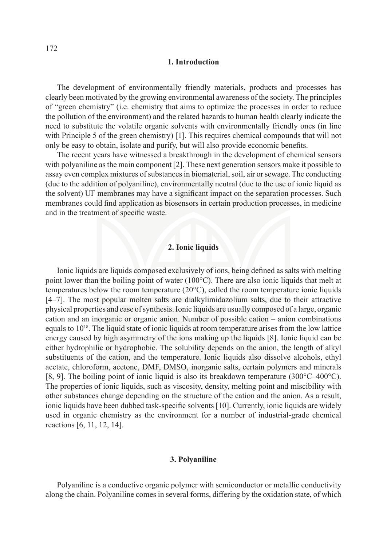#### **1. Introduction**

The development of environmentally friendly materials, products and processes has clearly been motivated by the growing environmental awareness of the society. The principles of "green chemistry" (i.e. chemistry that aims to optimize the processes in order to reduce the pollution of the environment) and the related hazards to human health clearly indicate the need to substitute the volatile organic solvents with environmentally friendly ones (in line with Principle 5 of the green chemistry) [1]. This requires chemical compounds that will not only be easy to obtain, isolate and purify, but will also provide economic benefits.

The recent years have witnessed a breakthrough in the development of chemical sensors with polyaniline as the main component [2]. These next generation sensors make it possible to assay even complex mixtures of substances in biomaterial, soil, air or sewage. The conducting (due to the addition of polyaniline), environmentally neutral (due to the use of ionic liquid as the solvent) UF membranes may have a significant impact on the separation processes. Such membranes could find application as biosensors in certain production processes, in medicine and in the treatment of specific waste.

#### **2. Ionic liquids**

Ionic liquids are liquids composed exclusively of ions, being defined as salts with melting point lower than the boiling point of water (100°C). There are also ionic liquids that melt at temperatures below the room temperature (20°C), called the room temperature ionic liquids [4–7]. The most popular molten salts are dialkylimidazolium salts, due to their attractive physical properties and ease of synthesis. Ionic liquids are usually composed of a large, organic cation and an inorganic or organic anion. Number of possible cation – anion combinations equals to  $10^{18}$ . The liquid state of ionic liquids at room temperature arises from the low lattice energy caused by high asymmetry of the ions making up the liquids [8]. Ionic liquid can be either hydrophilic or hydrophobic. The solubility depends on the anion, the length of alkyl substituents of the cation, and the temperature. Ionic liquids also dissolve alcohols, ethyl acetate, chloroform, acetone, DMF, DMSO, inorganic salts, certain polymers and minerals [8, 9]. The boiling point of ionic liquid is also its breakdown temperature (300°C–400°C). The properties of ionic liquids, such as viscosity, density, melting point and miscibility with other substances change depending on the structure of the cation and the anion. As a result, ionic liquids have been dubbed task-specific solvents [10]. Currently, ionic liquids are widely used in organic chemistry as the environment for a number of industrial-grade chemical reactions [6, 11, 12, 14].

#### **3. Polyaniline**

Polyaniline is a conductive organic polymer with semiconductor or metallic conductivity along the chain. Polyaniline comes in several forms, differing by the oxidation state, of which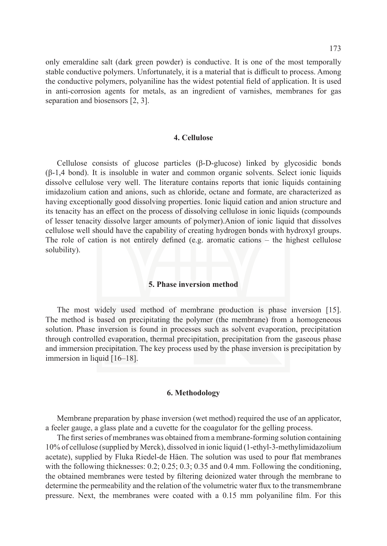only emeraldine salt (dark green powder) is conductive. It is one of the most temporally

stable conductive polymers. Unfortunately, it is a material that is difficult to process. Among the conductive polymers, polyaniline has the widest potential field of application. It is used in anti-corrosion agents for metals, as an ingredient of varnishes, membranes for gas separation and biosensors [2, 3].

#### **4. Cellulose**

Cellulose consists of glucose particles (β-D-glucose) linked by glycosidic bonds  $(\beta-1,4)$  bond). It is insoluble in water and common organic solvents. Select ionic liquids dissolve cellulose very well. The literature contains reports that ionic liquids containing imidazolium cation and anions, such as chloride, octane and formate, are characterized as having exceptionally good dissolving properties. Ionic liquid cation and anion structure and its tenacity has an effect on the process of dissolving cellulose in ionic liquids (compounds of lesser tenacity dissolve larger amounts of polymer).Anion of ionic liquid that dissolves cellulose well should have the capability of creating hydrogen bonds with hydroxyl groups. The role of cation is not entirely defined (e.g. aromatic cations – the highest cellulose solubility).

#### **5. Phase inversion method**

The most widely used method of membrane production is phase inversion [15]. The method is based on precipitating the polymer (the membrane) from a homogeneous solution. Phase inversion is found in processes such as solvent evaporation, precipitation through controlled evaporation, thermal precipitation, precipitation from the gaseous phase and immersion precipitation. The key process used by the phase inversion is precipitation by immersion in liquid [16–18].

#### **6. Methodology**

Membrane preparation by phase inversion (wet method) required the use of an applicator, a feeler gauge, a glass plate and a cuvette for the coagulator for the gelling process.

The first series of membranes was obtained from a membrane-forming solution containing 10% of cellulose (supplied by Merck), dissolved in ionic liquid (1-ethyl-3-methylimidazolium acetate), supplied by Fluka Riedel-de Häen. The solution was used to pour flat membranes with the following thicknesses: 0.2; 0.25; 0.3; 0.35 and 0.4 mm. Following the conditioning, the obtained membranes were tested by filtering deionized water through the membrane to determine the permeability and the relation of the volumetric water flux to the transmembrane pressure. Next, the membranes were coated with a 0.15 mm polyaniline film. For this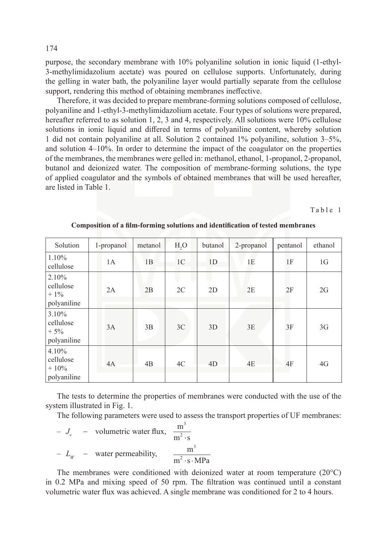purpose, the secondary membrane with 10% polyaniline solution in ionic liquid (1-ethyl-3-methylimidazolium acetate) was poured on cellulose supports. Unfortunately, during the gelling in water bath, the polyaniline layer would partially separate from the cellulose support, rendering this method of obtaining membranes ineffective.

Therefore, it was decided to prepare membrane-forming solutions composed of cellulose, polyaniline and 1-ethyl-3-methylimidazolium acetate. Four types of solutions were prepared, hereafter referred to as solution 1, 2, 3 and 4, respectively. All solutions were 10% cellulose solutions in ionic liquid and differed in terms of polyaniline content, whereby solution 1 did not contain polyaniline at all. Solution 2 contained 1% polyaniline, solution 3–5%, and solution 4–10%. In order to determine the impact of the coagulator on the properties of the membranes, the membranes were gelled in: methanol, ethanol, 1-propanol, 2-propanol, butanol and deionized water. The composition of membrane-forming solutions, the type of applied coagulator and the symbols of obtained membranes that will be used hereafter, are listed in Table 1.

Table 1

| Solution                                     | 1-propanol | metanol | H <sub>2</sub> O | butanol        | 2-propanol | pentanol | ethanol        |
|----------------------------------------------|------------|---------|------------------|----------------|------------|----------|----------------|
| $1.10\%$<br>cellulose                        | 1A         | 1B      | 1 <sup>C</sup>   | 1D             | 1E         | 1F       | 1 <sub>G</sub> |
| 2.10%<br>cellulose<br>$+1\%$<br>polyaniline  | 2A         | 2B      | 2C               | 2D             | 2E         | 2F       | 2G             |
| 3.10%<br>cellulose<br>$+5%$<br>polyaniline   | 3A         | 3B      | 3C               | 3D             | 3E         | 3F       | 3G             |
| 4.10%<br>cellulose<br>$+10\%$<br>polyaniline | 4A         | 4B      | 4C               | 4 <sub>D</sub> | 4E         | 4F       | 4G             |

**Composition of a film-forming solutions and identification of tested membranes**

The tests to determine the properties of membranes were conducted with the use of the system illustrated in Fig. 1.

The following parameters were used to assess the transport properties of UF membranes:

- 
$$
J_v
$$
 - volumetric water flux,  $\frac{m^3}{m^2 \cdot s}$   
-  $L_W$  - water permeability,  $\frac{m^3}{m^2 \cdot s \cdot MPa}$ 

The membranes were conditioned with deionized water at room temperature (20°C) in 0.2 MPa and mixing speed of 50 rpm. The filtration was continued until a constant volumetric water flux was achieved. A single membrane was conditioned for 2 to 4 hours.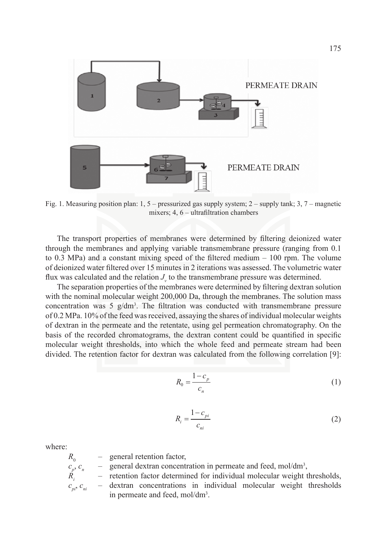

Fig. 1. Measuring position plan: 1, 5 – pressurized gas supply system; 2 – supply tank; 3, 7 – magnetic mixers; 4, 6 – ultrafiltration chambers

The transport properties of membranes were determined by filtering deionized water through the membranes and applying variable transmembrane pressure (ranging from 0.1 to 0.3 MPa) and a constant mixing speed of the filtered medium – 100 rpm. The volume of deionized water filtered over 15 minutes in 2 iterations was assessed. The volumetric water flux was calculated and the relation  $J_{\nu}$  to the transmembrane pressure was determined.

The separation properties of the membranes were determined by filtering dextran solution with the nominal molecular weight 200,000 Da, through the membranes. The solution mass concentration was 5  $g/dm<sup>3</sup>$ . The filtration was conducted with transmembrane pressure of 0.2 MPa. 10% of the feed was received, assaying the shares of individual molecular weights of dextran in the permeate and the retentate, using gel permeation chromatography. On the basis of the recorded chromatograms, the dextran content could be quantified in specific molecular weight thresholds, into which the whole feed and permeate stream had been divided. The retention factor for dextran was calculated from the following correlation [9]:

$$
R_0 = \frac{1 - c_p}{c_n} \tag{1}
$$

$$
R_i = \frac{1 - c_{pi}}{c_{ni}}\tag{2}
$$

where:

– general retention factor,

 $c_p, c_p$  $, c_n$  – general dextran concentration in permeate and feed, mol/dm<sup>3</sup>,

- retention factor determined for individual molecular weight thresholds, dextran concentrations in individual molecular weight thresholds in permeate and feed, mol/dm<sup>3</sup>.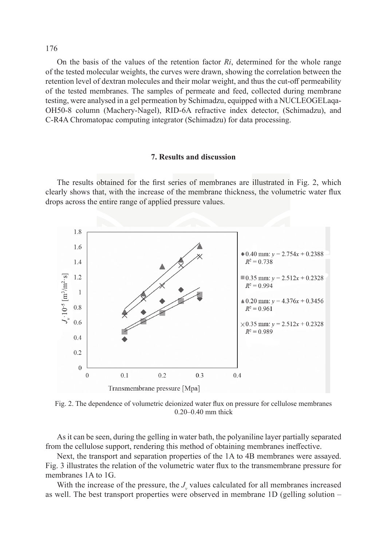On the basis of the values of the retention factor *Ri*, determined for the whole range of the tested molecular weights, the curves were drawn, showing the correlation between the retention level of dextran molecules and their molar weight, and thus the cut-off permeability of the tested membranes. The samples of permeate and feed, collected during membrane testing, were analysed in a gel permeation by Schimadzu, equipped with a NUCLEOGELaqa-OH50-8 column (Machery-Nagel), RID-6A refractive index detector, (Schimadzu), and C-R4A Chromatopac computing integrator (Schimadzu) for data processing.

#### **7. Results and discussion**

The results obtained for the first series of membranes are illustrated in Fig. 2, which clearly shows that, with the increase of the membrane thickness, the volumetric water flux drops across the entire range of applied pressure values.



Fig. 2. The dependence of volumetric deionized water flux on pressure for cellulose membranes 0.20–0.40 mm thick

As it can be seen, during the gelling in water bath, the polyaniline layer partially separated from the cellulose support, rendering this method of obtaining membranes ineffective.

Next, the transport and separation properties of the 1A to 4B membranes were assayed. Fig. 3 illustrates the relation of the volumetric water flux to the transmembrane pressure for membranes 1A to 1G.

With the increase of the pressure, the  $J_{\nu}$  values calculated for all membranes increased as well. The best transport properties were observed in membrane 1D (gelling solution –

176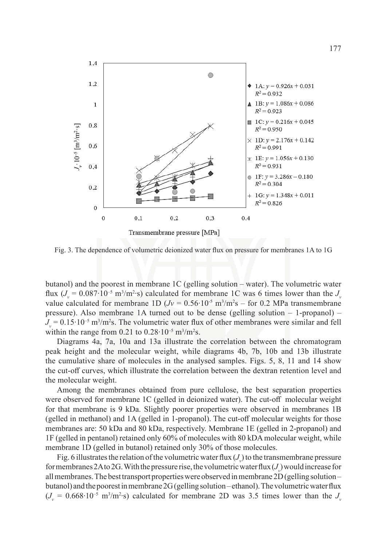

Fig. 3. The dependence of volumetric deionized water flux on pressure for membranes 1A to 1G

butanol) and the poorest in membrane 1C (gelling solution – water). The volumetric water flux (*J<sub>v</sub>* = 0.087⋅10<sup>-5</sup> m<sup>3</sup>/m<sup>2</sup>⋅s) calculated for membrane 1C was 6 times lower than the *J<sub>v</sub>* value calculated for membrane 1D  $(Jv = 0.56 \cdot 10^{-5} \text{ m}^3/\text{m}^2 \text{s} - \text{for } 0.2 \text{ MPa}$  transmembrane pressure). Also membrane 1A turned out to be dense (gelling solution – 1-propanol) – *J*<sub>v</sub> = 0.15⋅10<sup>-5</sup> m<sup>3</sup>/m<sup>2</sup>s. The volumetric water flux of other membranes were similar and fell within the range from  $0.21$  to  $0.28 \cdot 10^{-5}$  m<sup>3</sup>/m<sup>2</sup>s.

Diagrams 4a, 7a, 10a and 13a illustrate the correlation between the chromatogram peak height and the molecular weight, while diagrams 4b, 7b, 10b and 13b illustrate the cumulative share of molecules in the analysed samples. Figs. 5, 8, 11 and 14 show the cut-off curves, which illustrate the correlation between the dextran retention level and the molecular weight.

Among the membranes obtained from pure cellulose, the best separation properties were observed for membrane 1C (gelled in deionized water). The cut-off molecular weight for that membrane is 9 kDa. Slightly poorer properties were observed in membranes 1B (gelled in methanol) and 1A (gelled in 1-propanol). The cut-off molecular weights for those membranes are: 50 kDa and 80 kDa, respectively. Membrane 1E (gelled in 2-propanol) and 1F (gelled in pentanol) retained only 60% of molecules with 80 kDA molecular weight, while membrane 1D (gelled in butanol) retained only 30% of those molecules.

Fig. 6 illustrates the relation of the volumetric water flux  $(J_{\downarrow})$  to the transmembrane pressure for membranes 2A to 2G. With the pressure rise, the volumetric water flux  $(J_{\!\scriptscriptstyle \gamma}\!)$  would increase for all membranes. The best transport properties were observed in membrane 2D (gelling solution – butanol) and the poorest in membrane 2G (gelling solution – ethanol). The volumetric water flux  $(J_v = 0.668 \cdot 10^{-5} \text{ m}^3/\text{m}^2 \cdot \text{s})$  calculated for membrane 2D was 3.5 times lower than the  $J_v$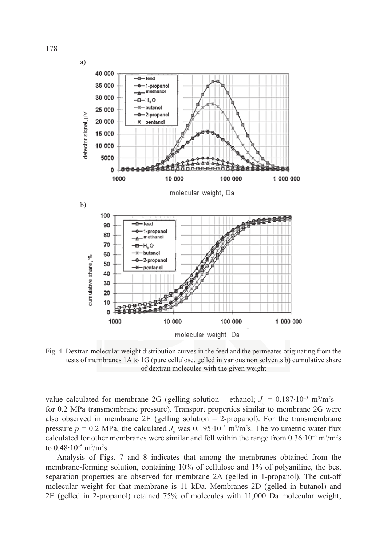

Fig. 4. Dextran molecular weight distribution curves in the feed and the permeates originating from the tests of membranes 1A to 1G (pure cellulose, gelled in various non solvents b) cumulative share of dextran molecules with the given weight

value calculated for membrane 2G (gelling solution – ethanol;  $J_v = 0.187 \cdot 10^{-5}$  m<sup>3</sup>/m<sup>2</sup>s – for 0.2 MPa transmembrane pressure). Transport properties similar to membrane 2G were also observed in membrane 2E (gelling solution  $-$  2-propanol). For the transmembrane pressure  $p = 0.2$  MPa, the calculated  $J_{\nu}$  was  $0.195 \cdot 10^{-5}$  m<sup>3</sup>/m<sup>2</sup>s. The volumetric water flux calculated for other membranes were similar and fell within the range from  $0.36 \cdot 10^{-5}$  m<sup>3</sup>/m<sup>2</sup>s to 0.48 $\cdot$ 10<sup>-5</sup> m<sup>3</sup>/m<sup>2</sup>s.

Analysis of Figs. 7 and 8 indicates that among the membranes obtained from the membrane-forming solution, containing 10% of cellulose and 1% of polyaniline, the best separation properties are observed for membrane 2A (gelled in 1-propanol). The cut-off molecular weight for that membrane is 11 kDa. Membranes 2D (gelled in butanol) and 2E (gelled in 2-propanol) retained 75% of molecules with 11,000 Da molecular weight;

178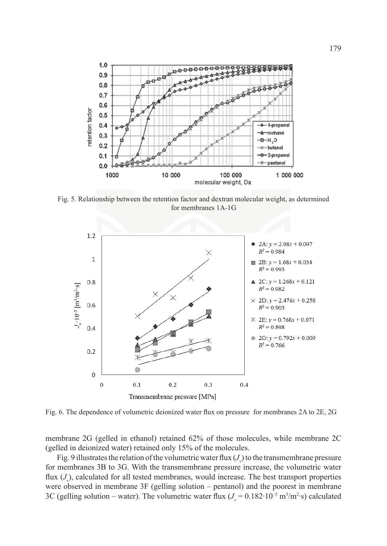

Fig. 5. Relationship between the retention factor and dextran molecular weight, as determined for membranes 1A-1G



Fig. 6. The dependence of volumetric deionized water flux on pressure for membranes 2A to 2E, 2G

membrane 2G (gelled in ethanol) retained 62% of those molecules, while membrane 2C (gelled in deionized water) retained only 15% of the molecules.

Fig. 9 illustrates the relation of the volumetric water flux  $(J_{\downarrow})$  to the transmembrane pressure for membranes 3B to 3G. With the transmembrane pressure increase, the volumetric water flux (*J<sub>v</sub>*), calculated for all tested membranes, would increase. The best transport properties were observed in membrane 3F (gelling solution – pentanol) and the poorest in membrane 3C (gelling solution – water). The volumetric water flux  $(J_v = 0.182 \cdot 10^{-5} \text{ m}^3/\text{m}^2 \cdot \text{s})$  calculated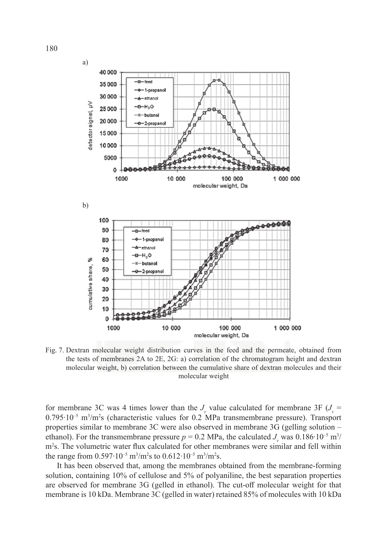

Fig. 7. Dextran molecular weight distribution curves in the feed and the permeate, obtained from the tests of membranes 2A to 2E, 2G: a) correlation of the chromatogram height and dextran molecular weight, b) correlation between the cumulative share of dextran molecules and their molecular weight

for membrane 3C was 4 times lower than the  $J_{\nu}$  value calculated for membrane 3F ( $J_{\nu}$  = 0.795⋅10<sup>-5</sup> m<sup>3</sup>/m<sup>2</sup>s (characteristic values for 0.2 MPa transmembrane pressure). Transport properties similar to membrane 3C were also observed in membrane 3G (gelling solution – ethanol). For the transmembrane pressure  $p = 0.2$  MPa, the calculated  $J_{\nu}$  was  $0.186 \cdot 10^{-5}$  m<sup>3</sup>/ m<sup>2</sup>s. The volumetric water flux calculated for other membranes were similar and fell within the range from 0.597⋅10<sup>-5</sup> m<sup>3</sup>/m<sup>2</sup>s to 0.612⋅10<sup>-5</sup> m<sup>3</sup>/m<sup>2</sup>s.

It has been observed that, among the membranes obtained from the membrane-forming solution, containing 10% of cellulose and 5% of polyaniline, the best separation properties are observed for membrane 3G (gelled in ethanol). The cut-off molecular weight for that membrane is 10 kDa. Membrane 3C (gelled in water) retained 85% of molecules with 10 kDa

180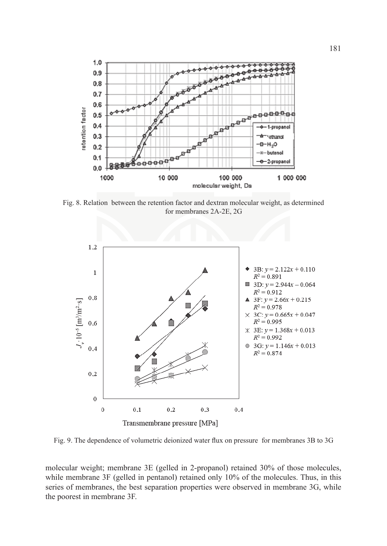![](_page_10_Figure_0.jpeg)

Fig. 8. Relation between the retention factor and dextran molecular weight, as determined for membranes 2A-2E, 2G

![](_page_10_Figure_2.jpeg)

Fig. 9. The dependence of volumetric deionized water flux on pressure for membranes 3B to 3G

molecular weight; membrane 3E (gelled in 2-propanol) retained 30% of those molecules, while membrane 3F (gelled in pentanol) retained only 10% of the molecules. Thus, in this series of membranes, the best separation properties were observed in membrane 3G, while the poorest in membrane 3F.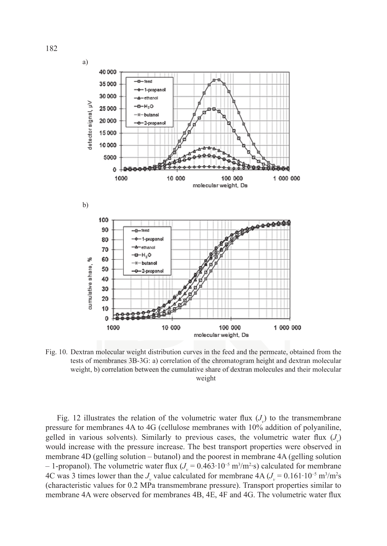![](_page_11_Figure_0.jpeg)

Fig. 10. Dextran molecular weight distribution curves in the feed and the permeate, obtained from the tests of membranes 3B-3G: a) correlation of the chromatogram height and dextran molecular weight, b) correlation between the cumulative share of dextran molecules and their molecular weight

Fig. 12 illustrates the relation of the volumetric water flux  $(J_{\nu})$  to the transmembrane pressure for membranes 4A to 4G (cellulose membranes with 10% addition of polyaniline, gelled in various solvents). Similarly to previous cases, the volumetric water flux  $(J_{\nu})$ would increase with the pressure increase. The best transport properties were observed in membrane 4D (gelling solution – butanol) and the poorest in membrane 4A (gelling solution − 1-propanol). The volumetric water flux  $(J_v = 0.463 \cdot 10^{-5} \text{ m}^3/\text{m}^2 \cdot \text{s})$  calculated for membrane 4C was 3 times lower than the *J<sub>v</sub>* value calculated for membrane  $4A (J_v = 0.161 \cdot 10^{-5} \text{ m}^3/\text{m}^2 \text{s})$ (characteristic values for 0.2 MPa transmembrane pressure). Transport properties similar to membrane 4A were observed for membranes 4B, 4E, 4F and 4G. The volumetric water flux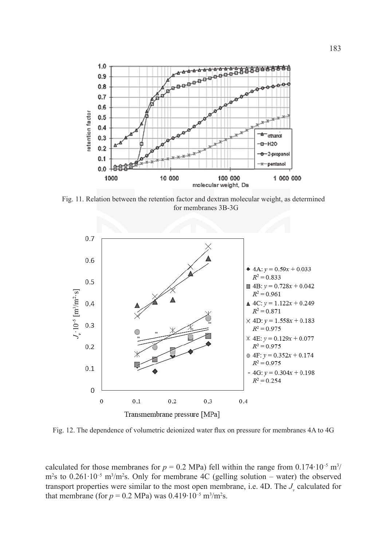![](_page_12_Figure_0.jpeg)

Fig. 11. Relation between the retention factor and dextran molecular weight, as determined for membranes 3B-3G

![](_page_12_Figure_2.jpeg)

Fig. 12. The dependence of volumetric deionized water flux on pressure for membranes 4A to 4G

calculated for those membranes for  $p = 0.2$  MPa) fell within the range from  $0.174 \cdot 10^{-5}$  m<sup>3</sup>/ m<sup>2</sup>s to 0.261⋅10<sup>-5</sup> m<sup>3</sup>/m<sup>2</sup>s. Only for membrane 4C (gelling solution – water) the observed transport properties were similar to the most open membrane, i.e. 4D. The  $J_{\nu}$  calculated for that membrane (for  $p = 0.2$  MPa) was  $0.419 \cdot 10^{-5}$  m<sup>3</sup>/m<sup>2</sup>s.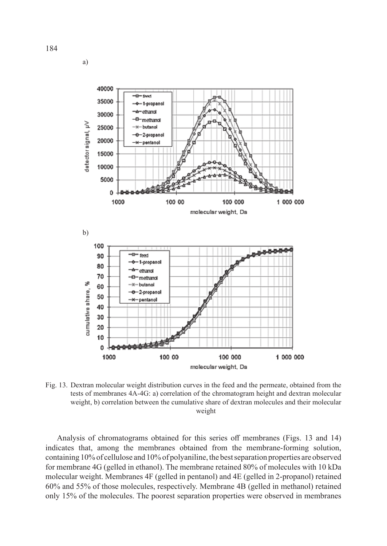![](_page_13_Figure_0.jpeg)

Fig. 13. Dextran molecular weight distribution curves in the feed and the permeate, obtained from the tests of membranes 4A-4G: a) correlation of the chromatogram height and dextran molecular weight, b) correlation between the cumulative share of dextran molecules and their molecular weight

Analysis of chromatograms obtained for this series off membranes (Figs. 13 and 14) indicates that, among the membranes obtained from the membrane-forming solution, containing 10% of cellulose and 10% of polyaniline, the best separation properties are observed for membrane 4G (gelled in ethanol). The membrane retained 80% of molecules with 10 kDa molecular weight. Membranes 4F (gelled in pentanol) and 4E (gelled in 2-propanol) retained 60% and 55% of those molecules, respectively. Membrane 4B (gelled in methanol) retained only 15% of the molecules. The poorest separation properties were observed in membranes

a)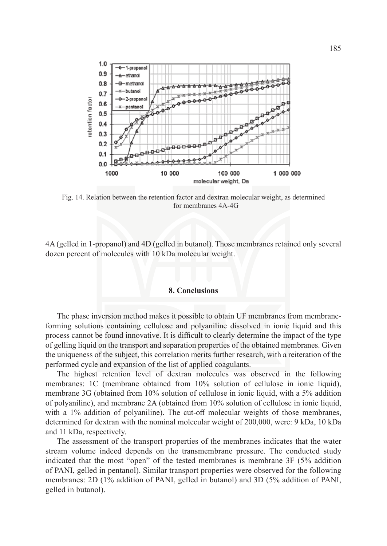![](_page_14_Figure_0.jpeg)

Fig. 14. Relation between the retention factor and dextran molecular weight, as determined for membranes 4A-4G

4A (gelled in 1-propanol) and 4D (gelled in butanol). Those membranes retained only several dozen percent of molecules with 10 kDa molecular weight.

#### **8. Conclusions**

The phase inversion method makes it possible to obtain UF membranes from membraneforming solutions containing cellulose and polyaniline dissolved in ionic liquid and this process cannot be found innovative. It is difficult to clearly determine the impact of the type of gelling liquid on the transport and separation properties of the obtained membranes. Given the uniqueness of the subject, this correlation merits further research, with a reiteration of the performed cycle and expansion of the list of applied coagulants.

The highest retention level of dextran molecules was observed in the following membranes: 1C (membrane obtained from 10% solution of cellulose in ionic liquid), membrane 3G (obtained from 10% solution of cellulose in ionic liquid, with a 5% addition of polyaniline), and membrane 2A (obtained from 10% solution of cellulose in ionic liquid, with a 1% addition of polyaniline). The cut-off molecular weights of those membranes, determined for dextran with the nominal molecular weight of 200,000, were: 9 kDa, 10 kDa and 11 kDa, respectively.

The assessment of the transport properties of the membranes indicates that the water stream volume indeed depends on the transmembrane pressure. The conducted study indicated that the most "open" of the tested membranes is membrane 3F (5% addition of PANI, gelled in pentanol). Similar transport properties were observed for the following membranes: 2D (1% addition of PANI, gelled in butanol) and 3D (5% addition of PANI, gelled in butanol).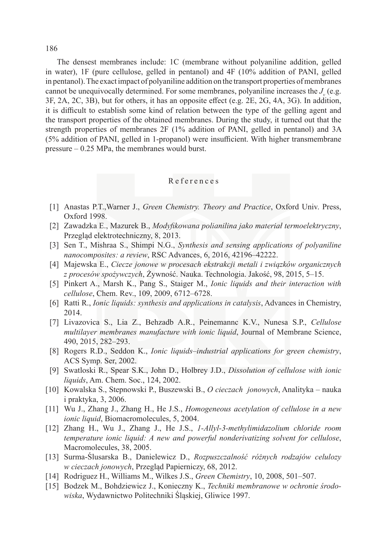186

The densest membranes include: 1C (membrane without polyaniline addition, gelled in water), 1F (pure cellulose, gelled in pentanol) and 4F (10% addition of PANI, gelled in pentanol). The exact impact of polyaniline addition on the transport properties of membranes cannot be unequivocally determined. For some membranes, polyaniline increases the *J<sub>y</sub>* (e.g. 3F, 2A, 2C, 3B), but for others, it has an opposite effect (e.g. 2E, 2G, 4A, 3G). In addition, it is difficult to establish some kind of relation between the type of the gelling agent and the transport properties of the obtained membranes. During the study, it turned out that the strength properties of membranes 2F (1% addition of PANI, gelled in pentanol) and 3A (5% addition of PANI, gelled in 1-propanol) were insufficient. With higher transmembrane pressure – 0.25 MPa, the membranes would burst.

### References

- [1] Anastas P.T.,Warner J., *Green Chemistry. Theory and Practice*, Oxford Univ. Press, Oxford 1998.
- [2] Zawadzka E., Mazurek B., *Modyfikowana polianilina jako materiał termoelektryczny*, Przegląd elektrotechniczny, 8, 2013.
- [3] Sen T., Mishraa S., Shimpi N.G., *Synthesis and sensing applications of polyaniline nanocomposites: a review*, RSC Advances, 6, 2016, 42196–42222.
- [4] Majewska E., *Ciecze jonowe w procesach ekstrakcji metali i związków organicznych z procesów spożywczych*, Żywność. Nauka. Technologia. Jakość, 98, 2015, 5–15.
- [5] Pinkert A., Marsh K., Pang S., Staiger M., *Ionic liquids and their interaction with cellulose*, Chem. Rev., 109, 2009, 6712–6728.
- [6] Ratti R., *Ionic liquids: synthesis and applications in catalysis*, Advances in Chemistry, 2014.
- [7] Livazovica S., Lia Z., Behzadb A.R., Peinemannc K.V., Nunesa S.P., *Cellulose multilayer membranes manufacture with ionic liquid*, Journal of Membrane Science, 490, 2015, 282–293.
- [8] Rogers R.D., Seddon K., *Ionic liquids–industrial applications for green chemistry*, ACS Symp. Ser, 2002.
- [9] Swatloski R., Spear S.K., John D., Holbrey J.D., *Dissolution of cellulose with ionic liquids*, Am. Chem. Soc., 124, 2002.
- [10] Kowalska S., Stepnowski P., Buszewski B., *O cieczach jonowych*, Analityka nauka i praktyka, 3, 2006.
- [11] Wu J., Zhang J., Zhang H., He J.S., *Homogeneous acetylation of cellulose in a new ionic liquid*, Biomacromolecules, 5, 2004.
- [12] Zhang H., Wu J., Zhang J., He J.S., *1-Allyl-3-methylimidazolium chloride room temperature ionic liquid: A new and powerful nonderivatizing solvent for cellulose*, Macromolecules, 38, 2005.
- [13] Surma-Ślusarska B., Danielewicz D., *Rozpuszczalność różnych rodzajów celulozy w cieczach jonowych*, Przegląd Papierniczy, 68, 2012.
- [14] Rodriguez H., Williams M., Wilkes J.S., *Green Chemistry*, 10, 2008, 501–507.
- [15] Bodzek M., Bohdziewicz J., Konieczny K., *Techniki membranowe w ochronie środowiska*, Wydawnictwo Politechniki Śląskiej, Gliwice 1997.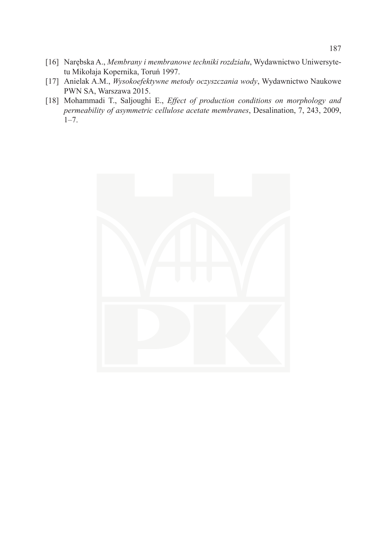- [16] Narębska A., *Membrany i membranowe techniki rozdziału*, Wydawnictwo Uniwersytetu Mikołaja Kopernika, Toruń 1997.
- [17] Anielak A.M., *Wysokoefektywne metody oczyszczania wody*, Wydawnictwo Naukowe PWN SA, Warszawa 2015.
- [18] Mohammadi T., Saljoughi E., *Effect of production conditions on morphology and permeability of asymmetric cellulose acetate membranes*, Desalination, 7, 243, 2009, 1–7.

![](_page_16_Picture_3.jpeg)